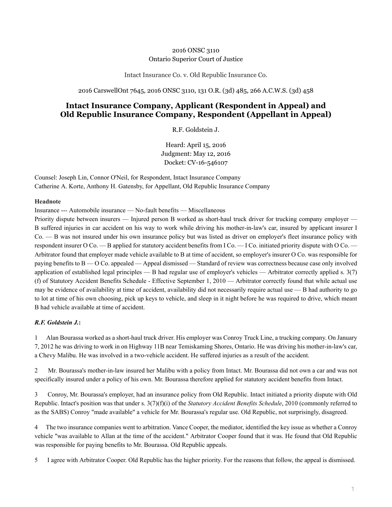## 2016 ONSC 3110 Ontario Superior Court of Justice

Intact Insurance Co. v. Old Republic Insurance Co.

2016 CarswellOnt 7645, 2016 ONSC 3110, 131 O.R. (3d) 485, 266 A.C.W.S. (3d) 458

# **Intact Insurance Company, Applicant (Respondent in Appeal) and Old Republic Insurance Company, Respondent (Appellant in Appeal)**

R.F. Goldstein J.

Heard: April 15, 2016 Judgment: May 12, 2016 Docket: CV-16-546107

Counsel: Joseph Lin, Connor O'Neil, for Respondent, Intact Insurance Company Catherine A. Korte, Anthony H. Gatensby, for Appellant, Old Republic Insurance Company

#### **Headnote**

Insurance --- Automobile insurance — No-fault benefits — Miscellaneous

Priority dispute between insurers — Injured person B worked as short-haul truck driver for trucking company employer — B suffered injuries in car accident on his way to work while driving his mother-in-law's car, insured by applicant insurer I Co. — B was not insured under his own insurance policy but was listed as driver on employer's fleet insurance policy with respondent insurer O Co. — B applied for statutory accident benefits from I Co. — I Co. initiated priority dispute with O Co. — Arbitrator found that employer made vehicle available to B at time of accident, so employer's insurer O Co. was responsible for paying benefits to B — O Co. appealed — Appeal dismissed — Standard of review was correctness because case only involved application of established legal principles — B had regular use of employer's vehicles — Arbitrator correctly applied s. 3(7) (f) of Statutory Accident Benefits Schedule - Effective September 1, 2010 — Arbitrator correctly found that while actual use may be evidence of availability at time of accident, availability did not necessarily require actual use  $-$  B had authority to go to lot at time of his own choosing, pick up keys to vehicle, and sleep in it night before he was required to drive, which meant B had vehicle available at time of accident.

#### *R.F. Goldstein J.***:**

1 Alan Bourassa worked as a short-haul truck driver. His employer was Conroy Truck Line, a trucking company. On January 7, 2012 he was driving to work in on Highway 11B near Temiskaming Shores, Ontario. He was driving his mother-in-law's car, a Chevy Malibu. He was involved in a two-vehicle accident. He suffered injuries as a result of the accident.

2 Mr. Bourassa's mother-in-law insured her Malibu with a policy from Intact. Mr. Bourassa did not own a car and was not specifically insured under a policy of his own. Mr. Bourassa therefore applied for statutory accident benefits from Intact.

3 Conroy, Mr. Bourassa's employer, had an insurance policy from Old Republic. Intact initiated a priority dispute with Old Republic. Intact's position was that under s. 3(7)(f)(i) of the *Statutory Accident Benefits Schedule*, 2010 (commonly referred to as the SABS) Conroy "made available" a vehicle for Mr. Bourassa's regular use. Old Republic, not surprisingly, disagreed.

4 The two insurance companies went to arbitration. Vance Cooper, the mediator, identified the key issue as whether a Conroy vehicle "was available to Allan at the time of the accident." Arbitrator Cooper found that it was. He found that Old Republic was responsible for paying benefits to Mr. Bourassa. Old Republic appeals.

5 I agree with Arbitrator Cooper. Old Republic has the higher priority. For the reasons that follow, the appeal is dismissed.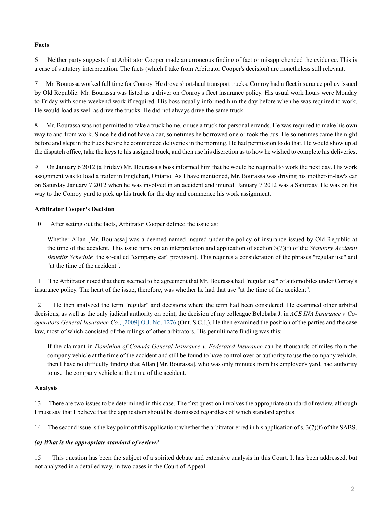### **Facts**

6 Neither party suggests that Arbitrator Cooper made an erroneous finding of fact or misapprehended the evidence. This is a case of statutory interpretation. The facts (which I take from Arbitrator Cooper's decision) are nonetheless still relevant.

7 Mr. Bourassa worked full time for Conroy. He drove short-haul transport trucks. Conroy had a fleet insurance policy issued by Old Republic. Mr. Bourassa was listed as a driver on Conroy's fleet insurance policy. His usual work hours were Monday to Friday with some weekend work if required. His boss usually informed him the day before when he was required to work. He would load as well as drive the trucks. He did not always drive the same truck.

8 Mr. Bourassa was not permitted to take a truck home, or use a truck for personal errands. He was required to make his own way to and from work. Since he did not have a car, sometimes he borrowed one or took the bus. He sometimes came the night before and slept in the truck before he commenced deliveries in the morning. He had permission to do that. He would show up at the dispatch office, take the keys to his assigned truck, and then use his discretion as to how he wished to complete his deliveries.

9 On January 6 2012 (a Friday) Mr. Bourassa's boss informed him that he would be required to work the next day. His work assignment was to load a trailer in Englehart, Ontario. As I have mentioned, Mr. Bourassa was driving his mother-in-law's car on Saturday January 7 2012 when he was involved in an accident and injured. January 7 2012 was a Saturday. He was on his way to the Conroy yard to pick up his truck for the day and commence his work assignment.

## **Arbitrator Cooper's Decision**

10 After setting out the facts, Arbitrator Cooper defined the issue as:

Whether Allan [Mr. Bourassa] was a deemed named insured under the policy of insurance issued by Old Republic at the time of the accident. This issue turns on an interpretation and application of section 3(7)(f) of the *Statutory Accident Benefits Schedule* [the so-called "company car" provision]. This requires a consideration of the phrases "regular use" and "at the time of the accident".

11 The Arbitrator noted that there seemed to be agreement that Mr. Bourassa had "regular use" of automobiles under Conray's insurance policy. The heart of the issue, therefore, was whether he had that use "at the time of the accident".

12 He then analyzed the term "regular" and decisions where the term had been considered. He examined other arbitral decisions, as well as the only judicial authority on point, the decision of my colleague Belobaba J. in *ACE INA Insurance v. Cooperators General Insurance Co.*[, \[2009\] O.J. No. 1276](http://nextcanada.westlaw.com/Link/Document/FullText?findType=Y&pubNum=6407&serNum=2018505824&originationContext=document&transitionType=DocumentItem&vr=3.0&rs=cblt1.0&contextData=(sc.Search)) (Ont. S.C.J.). He then examined the position of the parties and the case law, most of which consisted of the rulings of other arbitrators. His penultimate finding was this:

If the claimant in *Dominion of Canada General Insurance v. Federated Insurance* can be thousands of miles from the company vehicle at the time of the accident and still be found to have control over or authority to use the company vehicle, then I have no difficulty finding that Allan [Mr. Bourassa], who was only minutes from his employer's yard, had authority to use the company vehicle at the time of the accident.

## **Analysis**

13 There are two issues to be determined in this case. The first question involves the appropriate standard of review, although I must say that I believe that the application should be dismissed regardless of which standard applies.

14 The second issue is the key point of this application: whether the arbitrator erred in his application of s. 3(7)(f) of the SABS.

## *(a) What is the appropriate standard of review?*

15 This question has been the subject of a spirited debate and extensive analysis in this Court. It has been addressed, but not analyzed in a detailed way, in two cases in the Court of Appeal.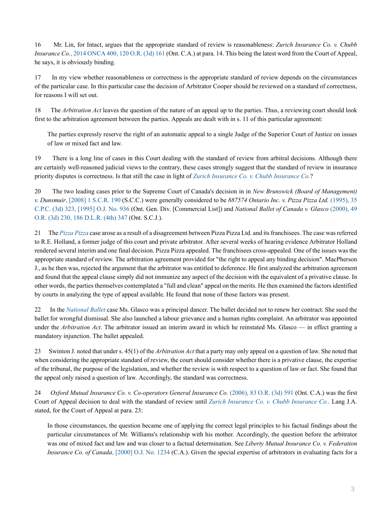16 Mr. Lin, for Intact, argues that the appropriate standard of review is reasonableness: *Zurich Insurance Co. v. Chubb Insurance Co.*[, 2014 ONCA 400, 120 O.R. \(3d\) 161](http://nextcanada.westlaw.com/Link/Document/FullText?findType=Y&pubNum=6407&serNum=2033381455&originationContext=document&transitionType=DocumentItem&vr=3.0&rs=cblt1.0&contextData=(sc.Search)) (Ont. C.A.) at para. 14. This being the latest word from the Court of Appeal, he says, it is obviously binding.

17 In my view whether reasonableness or correctness is the appropriate standard of review depends on the circumstances of the particular case. In this particular case the decision of Arbitrator Cooper should be reviewed on a standard of correctness, for reasons I will set out.

18 The *Arbitration Act* leaves the question of the nature of an appeal up to the parties. Thus, a reviewing court should look first to the arbitration agreement between the parties. Appeals are dealt with in s. 11 of this particular agreement:

The parties expressly reserve the right of an automatic appeal to a single Judge of the Superior Court of Justice on issues of law or mixed fact and law.

19 There is a long line of cases in this Court dealing with the standard of review from arbitral decisions. Although there are certainly well-reasoned judicial views to the contrary, these cases strongly suggest that the standard of review in insurance priority disputes is correctness. Is that still the case in light of *[Zurich Insurance Co. v. Chubb Insurance Co.](http://nextcanada.westlaw.com/Link/Document/FullText?findType=Y&pubNum=6407&serNum=2033381455&originationContext=document&transitionType=DocumentItem&vr=3.0&rs=cblt1.0&contextData=(sc.Search))*?

20 The two leading cases prior to the Supreme Court of Canada's decision in in *New Brunswick (Board of Management) v. Dunsmuir*[, \[2008\] 1 S.C.R. 190](http://nextcanada.westlaw.com/Link/Document/FullText?findType=Y&pubNum=6407&serNum=2015426704&originationContext=document&transitionType=DocumentItem&vr=3.0&rs=cblt1.0&contextData=(sc.Search)) (S.C.C.) were generally considered to be *887574 Ontario Inc. v. Pizza Pizza Ltd.* [\(1995\), 35](http://nextcanada.westlaw.com/Link/Document/FullText?findType=Y&pubNum=6407&serNum=1995405664&originationContext=document&transitionType=DocumentItem&vr=3.0&rs=cblt1.0&contextData=(sc.Search)) [C.P.C. \(3d\) 323, \[1995\] O.J. No. 936](http://nextcanada.westlaw.com/Link/Document/FullText?findType=Y&pubNum=6407&serNum=1995405664&originationContext=document&transitionType=DocumentItem&vr=3.0&rs=cblt1.0&contextData=(sc.Search)) (Ont. Gen. Div. [Commercial List]) and *National Ballet of Canada v. Glasco* [\(2000\), 49](http://nextcanada.westlaw.com/Link/Document/FullText?findType=Y&pubNum=6407&serNum=2000545816&originationContext=document&transitionType=DocumentItem&vr=3.0&rs=cblt1.0&contextData=(sc.Search)) [O.R. \(3d\) 230, 186 D.L.R. \(4th\) 347](http://nextcanada.westlaw.com/Link/Document/FullText?findType=Y&pubNum=6407&serNum=2000545816&originationContext=document&transitionType=DocumentItem&vr=3.0&rs=cblt1.0&contextData=(sc.Search)) (Ont. S.C.J.).

21 The *[Pizza Pizza](http://nextcanada.westlaw.com/Link/Document/FullText?findType=Y&pubNum=6407&serNum=1995405664&originationContext=document&transitionType=DocumentItem&vr=3.0&rs=cblt1.0&contextData=(sc.Search))* case arose as a result of a disagreement between Pizza Pizza Ltd. and its franchisees. The case was referred to R.E. Holland, a former judge of this court and private arbitrator. After several weeks of hearing evidence Arbitrator Holland rendered several interim and one final decision. Pizza Pizza appealed. The franchisees cross-appealed. One of the issues was the appropriate standard of review. The arbitration agreement provided for "the right to appeal any binding decision". MacPherson J., as he then was, rejected the argument that the arbitrator was entitled to deference. He first analyzed the arbitration agreement and found that the appeal clause simply did not immunize any aspect of the decision with the equivalent of a privative clause. In other words, the parties themselves contemplated a "full and clean" appeal on the merits. He then examined the factors identified by courts in analyzing the type of appeal available. He found that none of those factors was present.

22 In the *[National Ballet](http://nextcanada.westlaw.com/Link/Document/FullText?findType=Y&pubNum=6407&serNum=2000545816&originationContext=document&transitionType=DocumentItem&vr=3.0&rs=cblt1.0&contextData=(sc.Search))* case Ms. Glasco was a principal dancer. The ballet decided not to renew her contract. She sued the ballet for wrongful dismissal. She also launched a labour grievance and a human rights complaint. An arbitrator was appointed under the *Arbitration Act*. The arbitrator issued an interim award in which he reinstated Ms. Glasco — in effect granting a mandatory injunction. The ballet appealed.

23 Swinton J. noted that under s. 45(1) of the *Arbitration Act* that a party may only appeal on a question of law. She noted that when considering the appropriate standard of review, the court should consider whether there is a privative clause, the expertise of the tribunal, the purpose of the legislation, and whether the review is with respect to a question of law or fact. She found that the appeal only raised a question of law. Accordingly, the standard was correctness.

24 *Oxford Mutual Insurance Co. v. Co-operators General Insurance Co.* [\(2006\), 83 O.R. \(3d\) 591](http://nextcanada.westlaw.com/Link/Document/FullText?findType=Y&pubNum=6407&serNum=2010652914&originationContext=document&transitionType=DocumentItem&vr=3.0&rs=cblt1.0&contextData=(sc.Search)) (Ont. C.A.) was the first Court of Appeal decision to deal with the standard of review until *[Zurich Insurance Co. v. Chubb Insurance Co.](http://nextcanada.westlaw.com/Link/Document/FullText?findType=Y&pubNum=6407&serNum=2033381455&originationContext=document&transitionType=DocumentItem&vr=3.0&rs=cblt1.0&contextData=(sc.Search))*. Lang J.A. stated, for the Court of Appeal at para. 23:

In those circumstances, the question became one of applying the correct legal principles to his factual findings about the particular circumstances of Mr. Williams's relationship with his mother. Accordingly, the question before the arbitrator was one of mixed fact and law and was closer to a factual determination. See *Liberty Mutual Insurance Co. v. Federation Insurance Co. of Canada*[, \[2000\] O.J. No. 1234](http://nextcanada.westlaw.com/Link/Document/FullText?findType=Y&pubNum=6407&serNum=2000542924&originationContext=document&transitionType=DocumentItem&vr=3.0&rs=cblt1.0&contextData=(sc.Search)) (C.A.). Given the special expertise of arbitrators in evaluating facts for a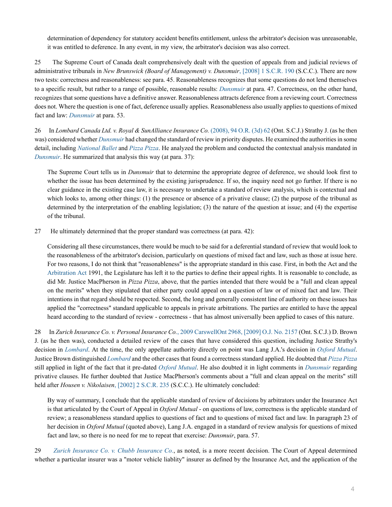determination of dependency for statutory accident benefits entitlement, unless the arbitrator's decision was unreasonable, it was entitled to deference. In any event, in my view, the arbitrator's decision was also correct.

25 The Supreme Court of Canada dealt comprehensively dealt with the question of appeals from and judicial reviews of administrative tribunals in *New Brunswick (Board of Management) v. Dunsmuir*[, \[2008\] 1 S.C.R. 190](http://nextcanada.westlaw.com/Link/Document/FullText?findType=Y&pubNum=6407&serNum=2015426704&originationContext=document&transitionType=DocumentItem&vr=3.0&rs=cblt1.0&contextData=(sc.Search)) (S.C.C.). There are now two tests: correctness and reasonableness: see para. 45. Reasonableness recognizes that some questions do not lend themselves to a specific result, but rather to a range of possible, reasonable results: *[Dunsmuir](http://nextcanada.westlaw.com/Link/Document/FullText?findType=Y&pubNum=6407&serNum=2015426704&originationContext=document&transitionType=DocumentItem&vr=3.0&rs=cblt1.0&contextData=(sc.Search))* at para. 47. Correctness, on the other hand, recognizes that some questions have a definitive answer. Reasonableness attracts deference from a reviewing court. Correctness does not. Where the question is one of fact, deference usually applies. Reasonableness also usually applies to questions of mixed fact and law: *[Dunsmuir](http://nextcanada.westlaw.com/Link/Document/FullText?findType=Y&pubNum=6407&serNum=2015426704&originationContext=document&transitionType=DocumentItem&vr=3.0&rs=cblt1.0&contextData=(sc.Search))* at para. 53.

26 In *Lombard Canada Ltd. v. Royal & SunAlliance Insurance Co.* [\(2008\), 94 O.R. \(3d\) 62](http://nextcanada.westlaw.com/Link/Document/FullText?findType=Y&pubNum=6407&serNum=2017720631&originationContext=document&transitionType=DocumentItem&vr=3.0&rs=cblt1.0&contextData=(sc.Search)) (Ont. S.C.J.) Strathy J. (as he then was) considered whether *[Dunsmuir](http://nextcanada.westlaw.com/Link/Document/FullText?findType=Y&pubNum=6407&serNum=2015426704&originationContext=document&transitionType=DocumentItem&vr=3.0&rs=cblt1.0&contextData=(sc.Search))* had changed the standard of review in priority disputes. He examined the authorities in some detail, including *[National Ballet](http://nextcanada.westlaw.com/Link/Document/FullText?findType=Y&pubNum=6407&serNum=2000545816&originationContext=document&transitionType=DocumentItem&vr=3.0&rs=cblt1.0&contextData=(sc.Search))* and *[Pizza Pizza](http://nextcanada.westlaw.com/Link/Document/FullText?findType=Y&pubNum=6407&serNum=1995405664&originationContext=document&transitionType=DocumentItem&vr=3.0&rs=cblt1.0&contextData=(sc.Search))*. He analyzed the problem and conducted the contextual analysis mandated in *[Dunsmuir](http://nextcanada.westlaw.com/Link/Document/FullText?findType=Y&pubNum=6407&serNum=2015426704&originationContext=document&transitionType=DocumentItem&vr=3.0&rs=cblt1.0&contextData=(sc.Search))*. He summarized that analysis this way (at para. 37):

The Supreme Court tells us in *Dunsmuir* that to determine the appropriate degree of deference, we should look first to whether the issue has been determined by the existing jurisprudence. If so, the inquiry need not go further. If there is no clear guidance in the existing case law, it is necessary to undertake a standard of review analysis, which is contextual and which looks to, among other things: (1) the presence or absence of a privative clause; (2) the purpose of the tribunal as determined by the interpretation of the enabling legislation; (3) the nature of the question at issue; and (4) the expertise of the tribunal.

27 He ultimately determined that the proper standard was correctness (at para. 42):

Considering all these circumstances, there would be much to be said for a deferential standard of review that would look to the reasonableness of the arbitrator's decision, particularly on questions of mixed fact and law, such as those at issue here. For two reasons, I do not think that "reasonableness" is the appropriate standard in this case. First, in both the Act and the [Arbitration Act](http://nextcanada.westlaw.com/Link/Document/FullText?findType=Y&serNum=0280677427&pubNum=135358&originatingDoc=I32ea7cc2bdb32b30e0540021280d7cce&refType=IG&docFamilyGuid=I200265e4f4e011d99f28ffa0ae8c2575&targetPreference=DocLanguage%3aEN&originationContext=document&vr=3.0&rs=cblt1.0&transitionType=DocumentItem&contextData=(sc.Search)) 1991, the Legislature has left it to the parties to define their appeal rights. It is reasonable to conclude, as did Mr. Justice MacPherson in *Pizza Pizza*, above, that the parties intended that there would be a "full and clean appeal on the merits" when they stipulated that either party could appeal on a question of law or of mixed fact and law. Their intentions in that regard should be respected. Second, the long and generally consistent line of authority on these issues has applied the "correctness" standard applicable to appeals in private arbitrations. The parties are entitled to have the appeal heard according to the standard of review - correctness - that has almost universally been applied to cases of this nature.

28 In *Zurich Insurance Co. v. Personal Insurance Co.*[, 2009 CarswellOnt 2968, \[2009\] O.J. No. 2157](http://nextcanada.westlaw.com/Link/Document/FullText?findType=Y&pubNum=6407&serNum=2018929523&originationContext=document&transitionType=DocumentItem&vr=3.0&rs=cblt1.0&contextData=(sc.Search)) (Ont. S.C.J.) D. Brown J. (as he then was), conducted a detailed review of the cases that have considered this question, including Justice Strathy's decision in *[Lombard](http://nextcanada.westlaw.com/Link/Document/FullText?findType=Y&pubNum=6407&serNum=2017720631&originationContext=document&transitionType=DocumentItem&vr=3.0&rs=cblt1.0&contextData=(sc.Search))*. At the time, the only appellate authority directly on point was Lang J.A.'s decision in *[Oxford Mutual](http://nextcanada.westlaw.com/Link/Document/FullText?findType=Y&pubNum=6407&serNum=2010652914&originationContext=document&transitionType=DocumentItem&vr=3.0&rs=cblt1.0&contextData=(sc.Search))*. Justice Brown distinguished *[Lombard](http://nextcanada.westlaw.com/Link/Document/FullText?findType=Y&pubNum=6407&serNum=2017720631&originationContext=document&transitionType=DocumentItem&vr=3.0&rs=cblt1.0&contextData=(sc.Search))* and the other cases that found a correctness standard applied. He doubted that *[Pizza Pizza](http://nextcanada.westlaw.com/Link/Document/FullText?findType=Y&pubNum=6407&serNum=1995405664&originationContext=document&transitionType=DocumentItem&vr=3.0&rs=cblt1.0&contextData=(sc.Search))* still applied in light of the fact that it pre-dated *[Oxford Mutual](http://nextcanada.westlaw.com/Link/Document/FullText?findType=Y&pubNum=6407&serNum=2010652914&originationContext=document&transitionType=DocumentItem&vr=3.0&rs=cblt1.0&contextData=(sc.Search))*. He also doubted it in light comments in *[Dunsmuir](http://nextcanada.westlaw.com/Link/Document/FullText?findType=Y&pubNum=6407&serNum=2015426704&originationContext=document&transitionType=DocumentItem&vr=3.0&rs=cblt1.0&contextData=(sc.Search))* regarding privative clauses. He further doubted that Justice MacPherson's comments about a "full and clean appeal on the merits" still held after *Housen v. Nikolaisen*[, \[2002\] 2 S.C.R. 235](http://nextcanada.westlaw.com/Link/Document/FullText?findType=Y&pubNum=6407&serNum=2002056175&originationContext=document&transitionType=DocumentItem&vr=3.0&rs=cblt1.0&contextData=(sc.Search)) (S.C.C.). He ultimately concluded:

By way of summary, I conclude that the applicable standard of review of decisions by arbitrators under the Insurance Act is that articulated by the Court of Appeal in *Oxford Mutual* - on questions of law, correctness is the applicable standard of review; a reasonableness standard applies to questions of fact and to questions of mixed fact and law. In paragraph 23 of her decision in *Oxford Mutual* (quoted above), Lang J.A. engaged in a standard of review analysis for questions of mixed fact and law, so there is no need for me to repeat that exercise: *Dunsmuir*, para. 57.

29 *[Zurich Insurance Co. v. Chubb Insurance Co.](http://nextcanada.westlaw.com/Link/Document/FullText?findType=Y&pubNum=6407&serNum=2033381455&originationContext=document&transitionType=DocumentItem&vr=3.0&rs=cblt1.0&contextData=(sc.Search))*, as noted, is a more recent decision. The Court of Appeal determined whether a particular insurer was a "motor vehicle liablity" insurer as defined by the Insurance Act, and the application of the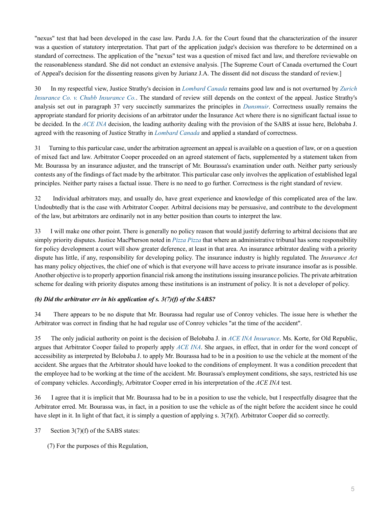"nexus" test that had been developed in the case law. Pardu J.A. for the Court found that the characterization of the insurer was a question of statutory interpretation. That part of the application judge's decision was therefore to be determined on a standard of correctness. The application of the "nexus" test was a question of mixed fact and law, and therefore reviewable on the reasonableness standard. She did not conduct an extensive analysis. [The Supreme Court of Canada overturned the Court of Appeal's decision for the dissenting reasons given by Jurianz J.A. The dissent did not discuss the standard of review.]

30 In my respectful view, Justice Strathy's decision in *[Lombard Canada](http://nextcanada.westlaw.com/Link/Document/FullText?findType=Y&pubNum=6407&serNum=2017720631&originationContext=document&transitionType=DocumentItem&vr=3.0&rs=cblt1.0&contextData=(sc.Search))* remains good law and is not overturned by *[Zurich](http://nextcanada.westlaw.com/Link/Document/FullText?findType=Y&pubNum=6407&serNum=2033381455&originationContext=document&transitionType=DocumentItem&vr=3.0&rs=cblt1.0&contextData=(sc.Search)) [Insurance Co. v. Chubb Insurance Co.](http://nextcanada.westlaw.com/Link/Document/FullText?findType=Y&pubNum=6407&serNum=2033381455&originationContext=document&transitionType=DocumentItem&vr=3.0&rs=cblt1.0&contextData=(sc.Search))*. The standard of review still depends on the context of the appeal. Justice Strathy's analysis set out in paragraph 37 very succinctly summarizes the principles in *[Dunsmuir](http://nextcanada.westlaw.com/Link/Document/FullText?findType=Y&pubNum=6407&serNum=2015426704&originationContext=document&transitionType=DocumentItem&vr=3.0&rs=cblt1.0&contextData=(sc.Search))*. Correctness usually remains the appropriate standard for priority decisions of an arbitrator under the Insurance Act where there is no significant factual issue to be decided. In the *[ACE INA](http://nextcanada.westlaw.com/Link/Document/FullText?findType=Y&pubNum=6407&serNum=2018505824&originationContext=document&transitionType=DocumentItem&vr=3.0&rs=cblt1.0&contextData=(sc.Search))* decision, the leading authority dealing with the provision of the SABS at issue here, Belobaba J. agreed with the reasoning of Justice Strathy in *[Lombard Canada](http://nextcanada.westlaw.com/Link/Document/FullText?findType=Y&pubNum=6407&serNum=2017720631&originationContext=document&transitionType=DocumentItem&vr=3.0&rs=cblt1.0&contextData=(sc.Search))* and applied a standard of correctness.

31 Turning to this particular case, under the arbitration agreement an appeal is available on a question of law, or on a question of mixed fact and law. Arbitrator Cooper proceeded on an agreed statement of facts, supplemented by a statement taken from Mr. Bourassa by an insurance adjuster, and the transcript of Mr. Bourassa's examination under oath. Neither party seriously contests any of the findings of fact made by the arbitrator. This particular case only involves the application of established legal principles. Neither party raises a factual issue. There is no need to go further. Correctness is the right standard of review.

32 Individual arbitrators may, and usually do, have great experience and knowledge of this complicated area of the law. Undoubtedly that is the case with Arbitrator Cooper. Arbitral decisions may be persuasive, and contribute to the development of the law, but arbitrators are ordinarily not in any better position than courts to interpret the law.

33 I will make one other point. There is generally no policy reason that would justify deferring to arbitral decisions that are simply priority disputes. Justice MacPherson noted in *[Pizza Pizza](http://nextcanada.westlaw.com/Link/Document/FullText?findType=Y&pubNum=6407&serNum=1995405664&originationContext=document&transitionType=DocumentItem&vr=3.0&rs=cblt1.0&contextData=(sc.Search))* that where an administrative tribunal has some responsibility for policy development a court will show greater deference, at least in that area. An insurance arbitrator dealing with a priority dispute has little, if any, responsibility for developing policy. The insurance industry is highly regulated. The *Insurance Act* has many policy objectives, the chief one of which is that everyone will have access to private insurance insofar as is possible. Another objective is to properly apportion financial risk among the institutions issuing insurance policies. The private arbitration scheme for dealing with priority disputes among these institutions is an instrument of policy. It is not a developer of policy.

### *(b) Did the arbitrator err in his application of s. 3(7)(f) of the SABS?*

34 There appears to be no dispute that Mr. Bourassa had regular use of Conroy vehicles. The issue here is whether the Arbitrator was correct in finding that he had regular use of Conroy vehicles "at the time of the accident".

35 The only judicial authority on point is the decision of Belobaba J. in *[ACE INA Insurance](http://nextcanada.westlaw.com/Link/Document/FullText?findType=Y&pubNum=6407&serNum=2018505824&originationContext=document&transitionType=DocumentItem&vr=3.0&rs=cblt1.0&contextData=(sc.Search))*. Ms. Korte, for Old Republic, argues that Arbitrator Cooper failed to properly apply *[ACE INA](http://nextcanada.westlaw.com/Link/Document/FullText?findType=Y&pubNum=6407&serNum=2018505824&originationContext=document&transitionType=DocumentItem&vr=3.0&rs=cblt1.0&contextData=(sc.Search))*. She argues, in effect, that in order for the word concept of accessibility as interpreted by Belobaba J. to apply Mr. Bourassa had to be in a position to use the vehicle at the moment of the accident. She argues that the Arbitrator should have looked to the conditions of employment. It was a condition precedent that the employee had to be working at the time of the accident. Mr. Bourassa's employment conditions, she says, restricted his use of company vehicles. Accordingly, Arbitrator Cooper erred in his interpretation of the *ACE INA* test.

36 I agree that it is implicit that Mr. Bourassa had to be in a position to use the vehicle, but I respectfully disagree that the Arbitrator erred. Mr. Bourassa was, in fact, in a position to use the vehicle as of the night before the accident since he could have slept in it. In light of that fact, it is simply a question of applying s.  $3(7)(f)$ . Arbitrator Cooper did so correctly.

37 Section 3(7)(f) of the SABS states:

(7) For the purposes of this Regulation,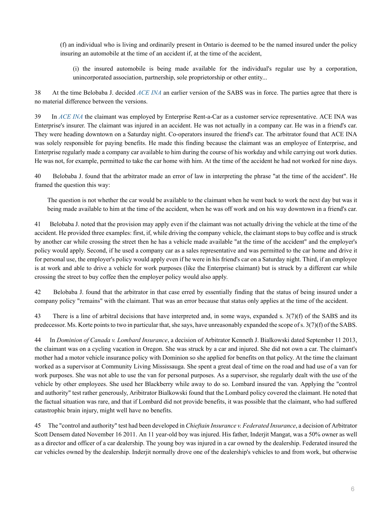(f) an individual who is living and ordinarily present in Ontario is deemed to be the named insured under the policy insuring an automobile at the time of an accident if, at the time of the accident,

(i) the insured automobile is being made available for the individual's regular use by a corporation, unincorporated association, partnership, sole proprietorship or other entity...

38 At the time Belobaba J. decided *[ACE INA](http://nextcanada.westlaw.com/Link/Document/FullText?findType=Y&pubNum=6407&serNum=2018505824&originationContext=document&transitionType=DocumentItem&vr=3.0&rs=cblt1.0&contextData=(sc.Search))* an earlier version of the SABS was in force. The parties agree that there is no material difference between the versions.

39 In *[ACE INA](http://nextcanada.westlaw.com/Link/Document/FullText?findType=Y&pubNum=6407&serNum=2018505824&originationContext=document&transitionType=DocumentItem&vr=3.0&rs=cblt1.0&contextData=(sc.Search))* the claimant was employed by Enterprise Rent-a-Car as a customer service representative. ACE INA was Enterprise's insurer. The claimant was injured in an accident. He was not actually in a company car. He was in a friend's car. They were heading downtown on a Saturday night. Co-operators insured the friend's car. The arbitrator found that ACE INA was solely responsible for paying benefits. He made this finding because the claimant was an employee of Enterprise, and Enterprise regularly made a company car available to him during the course of his workday and while carrying out work duties. He was not, for example, permitted to take the car home with him. At the time of the accident he had not worked for nine days.

40 Belobaba J. found that the arbitrator made an error of law in interpreting the phrase "at the time of the accident". He framed the question this way:

The question is not whether the car would be available to the claimant when he went back to work the next day but was it being made available to him at the time of the accident, when he was off work and on his way downtown in a friend's car.

41 Belobaba J. noted that the provision may apply even if the claimant was not actually driving the vehicle at the time of the accident. He provided three examples: first, if, while driving the company vehicle, the claimant stops to buy coffee and is struck by another car while crossing the street then he has a vehicle made available "at the time of the accident" and the employer's policy would apply. Second, if he used a company car as a sales representative and was permitted to the car home and drive it for personal use, the employer's policy would apply even if he were in his friend's car on a Saturday night. Third, if an employee is at work and able to drive a vehicle for work purposes (like the Enterprise claimant) but is struck by a different car while crossing the street to buy coffee then the employer policy would also apply.

42 Belobaba J. found that the arbitrator in that case erred by essentially finding that the status of being insured under a company policy "remains" with the claimant. That was an error because that status only applies at the time of the accident.

43 There is a line of arbitral decisions that have interpreted and, in some ways, expanded s. 3(7)(f) of the SABS and its predecessor. Ms. Korte points to two in particular that, she says, have unreasonably expanded the scope of s. 3(7)(f) of the SABS.

44 In *Dominion of Canada v. Lombard Insurance*, a decision of Arbitrator Kenneth J. Bialkowski dated September 11 2013, the claimant was on a cycling vacation in Oregon. She was struck by a car and injured. She did not own a car. The claimant's mother had a motor vehicle insurance policy with Dominion so she applied for benefits on that policy. At the time the claimant worked as a supervisor at Community Living Mississauga. She spent a great deal of time on the road and had use of a van for work purposes. She was not able to use the van for personal purposes. As a supervisor, she regularly dealt with the use of the vehicle by other employees. She used her Blackberry while away to do so. Lombard insured the van. Applying the "control and authority" test rather generously, Aribitrator Bialkowski found that the Lombard policy covered the claimant. He noted that the factual situation was rare, and that if Lombard did not provide benefits, it was possible that the claimant, who had suffered catastrophic brain injury, might well have no benefits.

45 The "control and authority" test had been developed in *Chieftain Insurance v. Federated Insurance*, a decision of Arbitrator Scott Densem dated November 16 2011. An 11 year-old boy was injured. His father, Inderjit Mangat, was a 50% owner as well as a director and officer of a car dealership. The young boy was injured in a car owned by the dealership. Federated insured the car vehicles owned by the dealership. Inderjit normally drove one of the dealership's vehicles to and from work, but otherwise